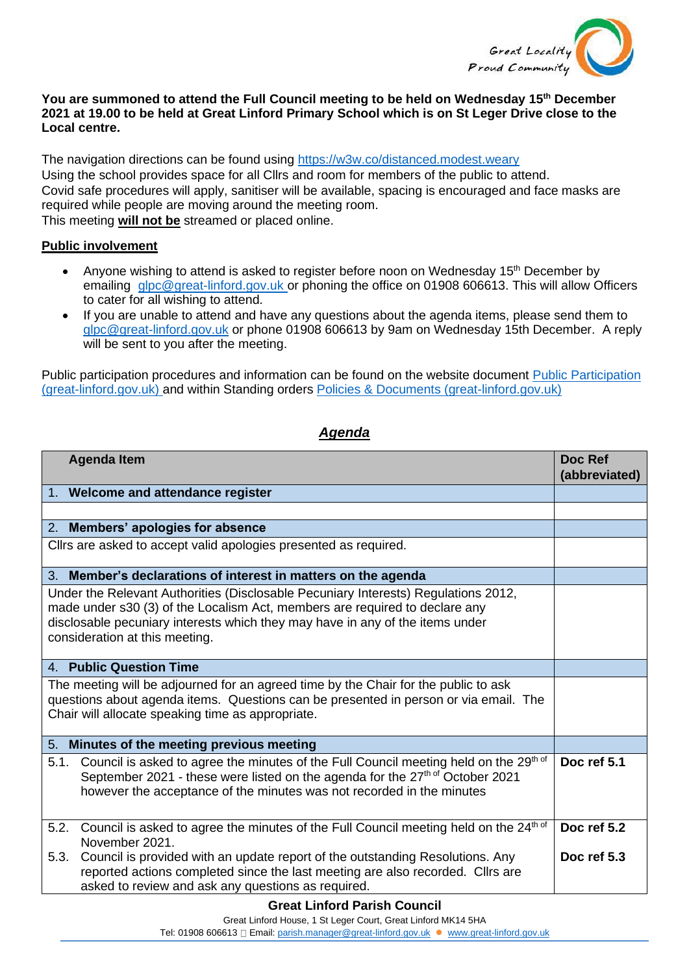

## **You are summoned to attend the Full Council meeting to be held on Wednesday 15th December 2021 at 19.00 to be held at Great Linford Primary School which is on St Leger Drive close to the Local centre.**

The navigation directions can be found using<https://w3w.co/distanced.modest.weary> Using the school provides space for all Cllrs and room for members of the public to attend. Covid safe procedures will apply, sanitiser will be available, spacing is encouraged and face masks are required while people are moving around the meeting room. This meeting **will not be** streamed or placed online.

## **Public involvement**

- Anyone wishing to attend is asked to register before noon on Wednesday 15<sup>th</sup> December by emailing [glpc@great-linford.gov.uk](mailto:glpc@great-linford.gov.uk) or phoning the office on 01908 606613. This will allow Officers to cater for all wishing to attend.
- If you are unable to attend and have any questions about the agenda items, please send them to [glpc@great-linford.gov.uk](mailto:glpc@great-linford.gov.uk) or phone 01908 606613 by 9am on Wednesday 15th December. A reply will be sent to you after the meeting.

Public participation procedures and information can be found on the website document [Public Participation](https://www.great-linford.gov.uk/council-meetings/public-participation/)  [\(great-linford.gov.uk\)](https://www.great-linford.gov.uk/council-meetings/public-participation/) and within Standing orders [Policies & Documents \(great-linford.gov.uk\)](https://www.great-linford.gov.uk/the-parish-council/policies-documents/)

## *Agenda*

| <b>Agenda Item</b>                                                                                                                                                                                                                                                                   | Doc Ref       |
|--------------------------------------------------------------------------------------------------------------------------------------------------------------------------------------------------------------------------------------------------------------------------------------|---------------|
|                                                                                                                                                                                                                                                                                      | (abbreviated) |
| 1. Welcome and attendance register                                                                                                                                                                                                                                                   |               |
|                                                                                                                                                                                                                                                                                      |               |
| 2. Members' apologies for absence                                                                                                                                                                                                                                                    |               |
| Cllrs are asked to accept valid apologies presented as required.                                                                                                                                                                                                                     |               |
| 3. Member's declarations of interest in matters on the agenda                                                                                                                                                                                                                        |               |
| Under the Relevant Authorities (Disclosable Pecuniary Interests) Regulations 2012,<br>made under s30 (3) of the Localism Act, members are required to declare any<br>disclosable pecuniary interests which they may have in any of the items under<br>consideration at this meeting. |               |
| 4. Public Question Time                                                                                                                                                                                                                                                              |               |
| The meeting will be adjourned for an agreed time by the Chair for the public to ask<br>questions about agenda items. Questions can be presented in person or via email. The<br>Chair will allocate speaking time as appropriate.                                                     |               |
| 5. Minutes of the meeting previous meeting                                                                                                                                                                                                                                           |               |
| Council is asked to agree the minutes of the Full Council meeting held on the 29th of<br>5.1.<br>September 2021 - these were listed on the agenda for the 27 <sup>th of</sup> October 2021<br>however the acceptance of the minutes was not recorded in the minutes                  | Doc ref 5.1   |
| Council is asked to agree the minutes of the Full Council meeting held on the 24th of<br>5.2.<br>November 2021.                                                                                                                                                                      | Doc ref 5.2   |
| Council is provided with an update report of the outstanding Resolutions. Any<br>5.3.<br>reported actions completed since the last meeting are also recorded. Cllrs are<br>asked to review and ask any questions as required.                                                        | Doc ref 5.3   |